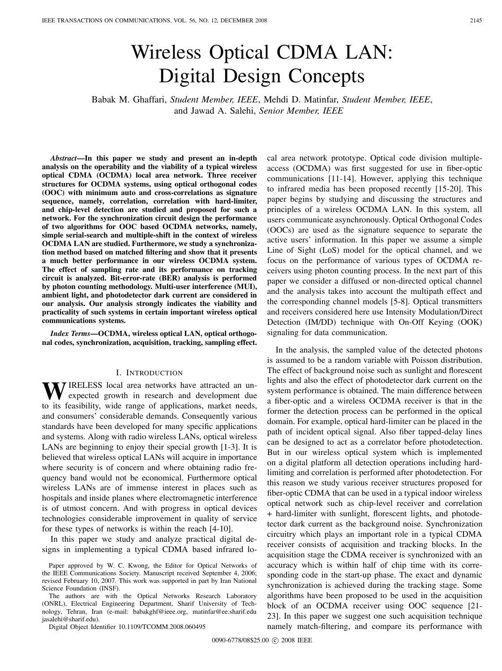# Wireless Optical CDMA LAN: Digital Design Concepts

Babak M. Ghaffari, *Student Member, IEEE*, Mehdi D. Matinfar, *Student Member, IEEE*, and Jawad A. Salehi, *Senior Member, IEEE*

*Abstract***—In this paper we study and present an in-depth analysis on the operability and the viability of a typical wireless optical CDMA (OCDMA) local area network. Three receiver structures for OCDMA systems, using optical orthogonal codes (OOC) with minimum auto and cross-correlations as signature sequence, namely, correlation, correlation with hard-limiter, and chip-level detection are studied and proposed for such a network. For the synchronization circuit design the performance of two algorithms for OOC based OCDMA networks, namely, simple serial-search and multiple-shift in the context of wireless OCDMA LAN are studied. Furthermore, we study a synchronization method based on matched filtering and show that it presents a much better performance in our wireless OCDMA system. The effect of sampling rate and its performance on tracking circuit is analyzed. Bit-error-rate (BER) analysis is performed by photon counting methodology. Multi-user interference (MUI), ambient light, and photodetector dark current are considered in our analysis. Our analysis strongly indicates the viability and practicality of such systems in certain important wireless optical communications systems.**

*Index Terms***—OCDMA, wireless optical LAN, optical orthogonal codes, synchronization, acquisition, tracking, sampling effect.**

## I. INTRODUCTION

WIRELESS local area networks have attracted an unstar-expected growth in research and development due to its feasibility, wide range of applications, market needs, and consumers' considerable demands. Consequently various standards have been developed for many specific applications and systems. Along with radio wireless LANs, optical wireless LANs are beginning to enjoy their special growth [1-3]. It is believed that wireless optical LANs will acquire in importance where security is of concern and where obtaining radio frequency band would not be economical. Furthermore optical wireless LANs are of immense interest in places such as hospitals and inside planes where electromagnetic interference is of utmost concern. And with progress in optical devices technologies considerable improvement in quality of service for these types of networks is within the reach [4-10].

In this paper we study and analyze practical digital designs in implementing a typical CDMA based infrared lo-

Paper approved by W. C. Kwong, the Editor for Optical Networks of the IEEE Communications Society. Manuscript received September 4, 2006; revised February 10, 2007. This work was supported in part by Iran National Science Foundation (INSF).

The authors are with the Optical Networks Research Laboratory (ONRL), Electrical Engineering Department, Sharif University of Technology, Tehran, Iran (e-mail: babakghf@ieee.org, matinfar@ee.sharif.edu jasalehi@sharif.edu).

Digital Object Identifier 10.1109/TCOMM.2008.060495

cal area network prototype. Optical code division multipleaccess (OCDMA) was first suggested for use in fiber-optic communications [11-14]. However, applying this technique to infrared media has been proposed recently [15-20]. This paper begins by studying and discussing the structures and principles of a wireless OCDMA LAN. In this system, all users communicate asynchronously. Optical Orthogonal Codes (OOCs) are used as the signature sequence to separate the active users' information. In this paper we assume a simple Line of Sight (LoS) model for the optical channel, and we focus on the performance of various types of OCDMA receivers using photon counting process. In the next part of this paper we consider a diffused or non-directed optical channel and the analysis takes into account the multipath effect and the corresponding channel models [5-8]. Optical transmitters and receivers considered here use Intensity Modulation/Direct Detection (IM/DD) technique with On-Off Keying (OOK) signaling for data communication.

In the analysis, the sampled value of the detected photons is assumed to be a random variable with Poisson distribution. The effect of background noise such as sunlight and florescent lights and also the effect of photodetector dark current on the system performance is obtained. The main difference between a fiber-optic and a wireless OCDMA receiver is that in the former the detection process can be performed in the optical domain. For example, optical hard-limiter can be placed in the path of incident optical signal. Also fiber tapped-delay lines can be designed to act as a correlator before photodetection. But in our wireless optical system which is implemented on a digital platform all detection operations including hardlimiting and correlation is performed after photodetection. For this reason we study various receiver structures proposed for fiber-optic CDMA that can be used in a typical indoor wireless optical network such as chip-level receiver and correlation + hard-limiter with sunlight, florescent lights, and photodetector dark current as the background noise. Synchronization circuitry which plays an important role in a typical CDMA receiver consists of acquisition and tracking blocks. In the acquisition stage the CDMA receiver is synchronized with an accuracy which is within half of chip time with its corresponding code in the start-up phase. The exact and dynamic synchronization is achieved during the tracking stage. Some algorithms have been proposed to be used in the acquisition block of an OCDMA receiver using OOC sequence [21- 23]. In this paper we suggest one such acquisition technique namely match-filtering, and compare its performance with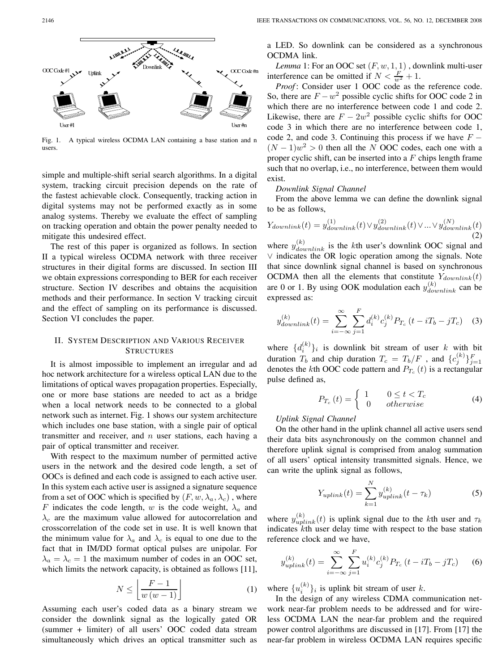

Fig. 1. A typical wireless OCDMA LAN containing a base station and n users.

simple and multiple-shift serial search algorithms. In a digital system, tracking circuit precision depends on the rate of the fastest achievable clock. Consequently, tracking action in digital systems may not be performed exactly as in some analog systems. Thereby we evaluate the effect of sampling on tracking operation and obtain the power penalty needed to mitigate this undesired effect.

The rest of this paper is organized as follows. In section II a typical wireless OCDMA network with three receiver structures in their digital forms are discussed. In section III we obtain expressions corresponding to BER for each receiver structure. Section IV describes and obtains the acquisition methods and their performance. In section V tracking circuit and the effect of sampling on its performance is discussed. Section VI concludes the paper.

# II. SYSTEM DESCRIPTION AND VARIOUS RECEIVER **STRUCTURES**

It is almost impossible to implement an irregular and ad hoc network architecture for a wireless optical LAN due to the limitations of optical waves propagation properties. Especially, one or more base stations are needed to act as a bridge when a local network needs to be connected to a global network such as internet. Fig. 1 shows our system architecture which includes one base station, with a single pair of optical transmitter and receiver, and  $n$  user stations, each having a pair of optical transmitter and receiver.

With respect to the maximum number of permitted active users in the network and the desired code length, a set of OOCs is defined and each code is assigned to each active user. In this system each active user is assigned a signature sequence from a set of OOC which is specified by  $(F, w, \lambda_a, \lambda_c)$ , where F indicates the code length, w is the code weight,  $\lambda_a$  and  $\lambda_c$  are the maximum value allowed for autocorrelation and crosscorrelation of the code set in use. It is well known that the minimum value for  $\lambda_a$  and  $\lambda_c$  is equal to one due to the fact that in IM/DD format optical pulses are unipolar. For  $\lambda_a = \lambda_c = 1$  the maximum number of codes in an OOC set, which limits the network capacity, is obtained as follows [11],

$$
N \le \left\lfloor \frac{F-1}{w\left(w-1\right)} \right\rfloor \tag{1}
$$

Assuming each user's coded data as a binary stream we consider the downlink signal as the logically gated OR (summer + limiter) of all users' OOC coded data stream simultaneously which drives an optical transmitter such as a LED. So downlink can be considered as a synchronous OCDMA link.

*Lemma* 1: For an OOC set  $(F, w, 1, 1)$ , downlink multi-user interference can be omitted if  $N < \frac{F}{w^2} + 1$ .

*Proof*: Consider user 1 OOC code as the reference code. So, there are  $F - w^2$  possible cyclic shifts for OOC code 2 in which there are no interference between code 1 and code 2. Likewise, there are  $F - 2w^2$  possible cyclic shifts for OOC code 3 in which there are no interference between code 1, code 2, and code 3. Continuing this process if we have  $F (N-1)w^2 > 0$  then all the N OOC codes, each one with a proper cyclic shift, can be inserted into a  $F$  chips length frame such that no overlap, i.e., no interference, between them would exist.

# *Downlink Signal Channel*

From the above lemma we can define the downlink signal to be as follows,

$$
Y_{downlink}(t) = y_{downlink}^{(1)}(t) \vee y_{downlink}^{(2)}(t) \vee \dots \vee y_{downlink}^{(N)}(t)
$$
\n
$$
(2)
$$

where  $y_{downlink}^{(k)}$  is the kth user's downlink OOC signal and ∨ indicates the OR logic operation among the signals. Note that since downlink signal channel is based on synchronous OCDMA then all the elements that constitute  $Y_{downlink}(t)$ are 0 or 1. By using OOK modulation each  $y_{downlink}^{(k)}$  can be expressed as:

$$
y_{downlink}^{(k)}(t) = \sum_{i=-\infty}^{\infty} \sum_{j=1}^{F} d_i^{(k)} c_j^{(k)} P_{T_c} (t - iT_b - jT_c)
$$
 (3)

where  $\{d_i^{(k)}\}_i$  is downlink bit stream of user k with bit duration  $T_b$  and chip duration  $T_c = T_b/F$ , and  $\{c_j^{(k)}\}_{j=1}^F$ denotes the kth OOC code pattern and  $P_{T_c}(t)$  is a rectangular pulse defined as,

$$
P_{T_c}(t) = \begin{cases} 1 & 0 \le t < T_c \\ 0 & otherwise \end{cases}
$$
 (4)

# *Uplink Signal Channel*

On the other hand in the uplink channel all active users send their data bits asynchronously on the common channel and therefore uplink signal is comprised from analog summation of all users' optical intensity transmitted signals. Hence, we can write the uplink signal as follows,

$$
Y_{uplink}(t) = \sum_{k=1}^{N} y_{uplink}^{(k)}(t - \tau_k)
$$
\n(5)

where  $y_{unlink}^{(k)}(t)$  is uplink signal due to the kth user and  $\tau_k$ indicates kth user delay time with respect to the base station reference clock and we have,

$$
y_{uplink}^{(k)}(t) = \sum_{i=-\infty}^{\infty} \sum_{j=1}^{F} u_i^{(k)} c_j^{(k)} P_{T_c} \left( t - iT_b - jT_c \right) \tag{6}
$$

where  $\{u_i^{(k)}\}_i$  is uplink bit stream of user k.

In the design of any wireless CDMA communication network near-far problem needs to be addressed and for wireless OCDMA LAN the near-far problem and the required power control algorithms are discussed in [17]. From [17] the near-far problem in wireless OCDMA LAN requires specific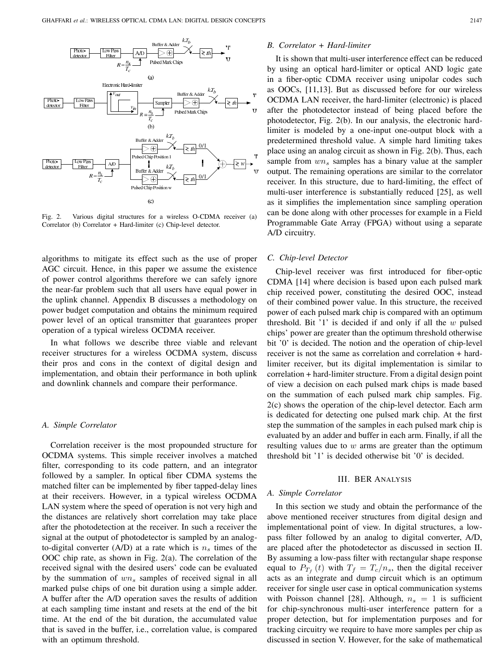

Fig. 2. Various digital structures for a wireless O-CDMA receiver (a) Correlator (b) Correlator + Hard-limiter (c) Chip-level detector.

algorithms to mitigate its effect such as the use of proper AGC circuit. Hence, in this paper we assume the existence of power control algorithms therefore we can safely ignore the near-far problem such that all users have equal power in the uplink channel. Appendix B discusses a methodology on power budget computation and obtains the minimum required power level of an optical transmitter that guarantees proper operation of a typical wireless OCDMA receiver.

In what follows we describe three viable and relevant receiver structures for a wireless OCDMA system, discuss their pros and cons in the context of digital design and implementation, and obtain their performance in both uplink and downlink channels and compare their performance.

# *A. Simple Correlator*

Correlation receiver is the most propounded structure for OCDMA systems. This simple receiver involves a matched filter, corresponding to its code pattern, and an integrator followed by a sampler. In optical fiber CDMA systems the matched filter can be implemented by fiber tapped-delay lines at their receivers. However, in a typical wireless OCDMA LAN system where the speed of operation is not very high and the distances are relatively short correlation may take place after the photodetection at the receiver. In such a receiver the signal at the output of photodetector is sampled by an analogto-digital converter (A/D) at a rate which is  $n<sub>s</sub>$  times of the OOC chip rate, as shown in Fig. 2(a). The correlation of the received signal with the desired users' code can be evaluated by the summation of  $wn_s$  samples of received signal in all marked pulse chips of one bit duration using a simple adder. A buffer after the A/D operation saves the results of addition at each sampling time instant and resets at the end of the bit time. At the end of the bit duration, the accumulated value that is saved in the buffer, i.e., correlation value, is compared with an optimum threshold.

# *B. Correlator + Hard-limiter*

It is shown that multi-user interference effect can be reduced by using an optical hard-limiter or optical AND logic gate in a fiber-optic CDMA receiver using unipolar codes such as OOCs, [11,13]. But as discussed before for our wireless OCDMA LAN receiver, the hard-limiter (electronic) is placed after the photodetector instead of being placed before the photodetector, Fig. 2(b). In our analysis, the electronic hardlimiter is modeled by a one-input one-output block with a predetermined threshold value. A simple hard limiting takes place using an analog circuit as shown in Fig. 2(b). Thus, each sample from  $wn_s$  samples has a binary value at the sampler output. The remaining operations are similar to the correlator receiver. In this structure, due to hard-limiting, the effect of multi-user interference is substantially reduced [25], as well as it simplifies the implementation since sampling operation can be done along with other processes for example in a Field Programmable Gate Array (FPGA) without using a separate A/D circuitry.

#### *C. Chip-level Detector*

Chip-level receiver was first introduced for fiber-optic CDMA [14] where decision is based upon each pulsed mark chip received power, constituting the desired OOC, instead of their combined power value. In this structure, the received power of each pulsed mark chip is compared with an optimum threshold. Bit '1' is decided if and only if all the  $w$  pulsed chips' power are greater than the optimum threshold otherwise bit '0' is decided. The notion and the operation of chip-level receiver is not the same as correlation and correlation + hardlimiter receiver, but its digital implementation is similar to correlation + hard-limiter structure. From a digital design point of view a decision on each pulsed mark chips is made based on the summation of each pulsed mark chip samples. Fig. 2(c) shows the operation of the chip-level detector. Each arm is dedicated for detecting one pulsed mark chip. At the first step the summation of the samples in each pulsed mark chip is evaluated by an adder and buffer in each arm. Finally, if all the resulting values due to  $w$  arms are greater than the optimum threshold bit '1' is decided otherwise bit '0' is decided.

# III. BER ANALYSIS

#### *A. Simple Correlator*

In this section we study and obtain the performance of the above mentioned receiver structures from digital design and implementational point of view. In digital structures, a lowpass filter followed by an analog to digital converter, A/D, are placed after the photodetector as discussed in section II. By assuming a low-pass filter with rectangular shape response equal to  $P_{T_f}(t)$  with  $T_f = T_c/n_s$ , then the digital receiver acts as an integrate and dump circuit which is an optimum receiver for single user case in optical communication systems with Poisson channel [28]. Although,  $n<sub>s</sub> = 1$  is sufficient for chip-synchronous multi-user interference pattern for a proper detection, but for implementation purposes and for tracking circuitry we require to have more samples per chip as discussed in section V. However, for the sake of mathematical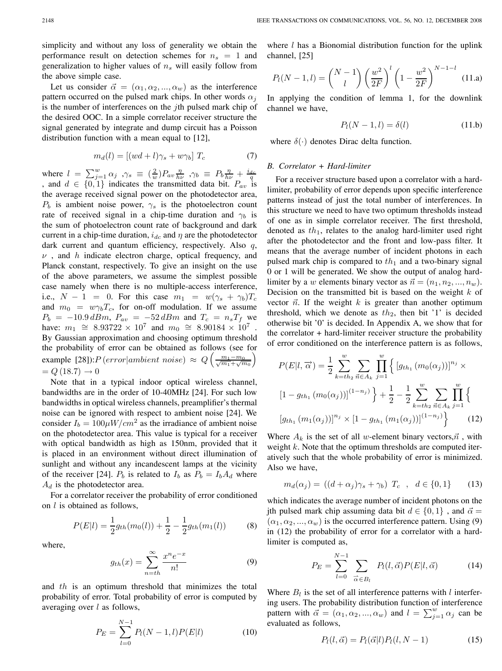simplicity and without any loss of generality we obtain the performance result on detection schemes for  $n<sub>s</sub> = 1$  and generalization to higher values of  $n<sub>s</sub>$  will easily follow from the above simple case.

Let us consider  $\vec{\alpha} = (\alpha_1, \alpha_2, ..., \alpha_w)$  as the interference pattern occurred on the pulsed mark chips. In other words  $\alpha_i$ is the number of interferences on the jth pulsed mark chip of the desired OOC. In a simple correlator receiver structure the signal generated by integrate and dump circuit has a Poisson distribution function with a mean equal to [12],

$$
m_d(l) = [(wd+l)\gamma_s + w\gamma_b]T_c \tag{7}
$$

where  $l = \sum_{j=1}^{w} \alpha_j$ ,  $\gamma_s \equiv \left(\frac{2}{w}\right) P_{av} \frac{\eta}{h\nu}$ ,  $\gamma_b \equiv P_b \frac{\eta}{h\nu} + \frac{i_{dc}}{q}$ , and  $d \in \{0, 1\}$  indicates the transmitted data bit.  $P_{av}$  is the average received signal power on the photodetector area,  $P_b$  is ambient noise power,  $\gamma_s$  is the photoelectron count rate of received signal in a chip-time duration and  $\gamma_b$  is the sum of photoelectron count rate of background and dark current in a chip-time duration,  $i_{dc}$  and  $\eta$  are the photodetector dark current and quantum efficiency, respectively. Also q,  $\nu$ , and h indicate electron charge, optical frequency, and Planck constant, respectively. To give an insight on the use of the above parameters, we assume the simplest possible case namely when there is no multiple-access interference, i.e.,  $N-1=0$ . For this case  $m_1 = w(\gamma_s + \gamma_b)T_c$ and  $m_0 = w\gamma_bT_c$ , for on-off modulation. If we assume  $P_b = -10.9$  dBm,  $P_{av} = -52$  dBm and  $T_c = n_s T_f$  we have:  $m_1 \cong 8.93722 \times 10^7$  and  $m_0 \cong 8.90184 \times 10^7$ . By Gaussian approximation and choosing optimum threshold the probability of error can be obtained as follows (see for example [28]): $P \left( error | ambient\ noise \right) \approx Q \left( \frac{m_1 - m_0}{\sqrt{m_1} + \sqrt{m_0}} \right)$  $= Q(18.7) \rightarrow 0$ 

Note that in a typical indoor optical wireless channel, bandwidths are in the order of 10-40MHz [24]. For such low bandwidths in optical wireless channels, preamplifier's thermal noise can be ignored with respect to ambient noise [24]. We consider  $I_b = 100 \mu W/cm^2$  as the irradiance of ambient noise on the photodetector area. This value is typical for a receiver with optical bandwidth as high as 150nm, provided that it is placed in an environment without direct illumination of sunlight and without any incandescent lamps at the vicinity of the receiver [24].  $P_b$  is related to  $I_b$  as  $P_b = I_b A_d$  where  $A_d$  is the photodetector area.

For a correlator receiver the probability of error conditioned on  $l$  is obtained as follows,

$$
P(E|l) = \frac{1}{2}g_{th}(m_0(l)) + \frac{1}{2} - \frac{1}{2}g_{th}(m_1(l))
$$
 (8)

where,

$$
g_{th}(x) = \sum_{n=th}^{\infty} \frac{x^n e^{-x}}{n!}
$$
 (9)

and th is an optimum threshold that minimizes the total probability of error. Total probability of error is computed by averaging over  $l$  as follows,

$$
P_E = \sum_{l=0}^{N-1} P_l(N-1,l) P(E|l)
$$
 (10)

where  $l$  has a Bionomial distribution function for the uplink channel, [25]

$$
P_l(N-1,l) = {N-1 \choose l} \left(\frac{w^2}{2F}\right)^l \left(1 - \frac{w^2}{2F}\right)^{N-1-l}
$$
 (11.a)

In applying the condition of lemma 1, for the downlink channel we have,

$$
P_l(N-1,l) = \delta(l) \tag{11.b}
$$

where  $\delta(\cdot)$  denotes Dirac delta function.

# *B. Correlator + Hard-limiter*

For a receiver structure based upon a correlator with a hardlimiter, probability of error depends upon specific interference patterns instead of just the total number of interferences. In this structure we need to have two optimum thresholds instead of one as in simple correlator receiver. The first threshold, denoted as  $th_1$ , relates to the analog hard-limiter used right after the photodetector and the front and low-pass filter. It means that the average number of incident photons in each pulsed mark chip is compared to  $th_1$  and a two-binary signal 0 or 1 will be generated. We show the output of analog hardlimiter by a w elements binary vector as  $\vec{n} = (n_1, n_2, ..., n_w)$ . Decision on the transmitted bit is based on the weight  $k$  of vector  $\vec{n}$ . If the weight k is greater than another optimum threshold, which we denote as  $th_2$ , then bit '1' is decided otherwise bit '0' is decided. In Appendix A, we show that for the correlator + hard-limiter receiver structure the probability of error conditioned on the interference pattern is as follows,

$$
P(E|l, \overrightarrow{\alpha}) = \frac{1}{2} \sum_{k=th_2}^{w} \sum_{\vec{n} \in A_k} \prod_{j=1}^{w} \left\{ \left[ g_{th_1} \left( m_0(\alpha_j) \right) \right]^{n_j} \times \left[ 1 - g_{th_1} \left( m_0(\alpha_j) \right) \right]^{(1-n_j)} \right\} + \frac{1}{2} - \frac{1}{2} \sum_{k=th_2}^{w} \sum_{\vec{n} \in A_k} \prod_{j=1}^{w} \left\{ \left[ g_{th_1} \left( m_1(\alpha_j) \right) \right]^{n_j} \times \left[ 1 - g_{th_1} \left( m_1(\alpha_j) \right) \right]^{(1-n_j)} \right\} \tag{12}
$$

Where  $A_k$  is the set of all w-element binary vectors, $\vec{n}$ , with weight  $k$ . Note that the optimum thresholds are computed iteratively such that the whole probability of error is minimized. Also we have,

$$
m_d(\alpha_j) = ((d + \alpha_j)\gamma_s + \gamma_b) T_c , d \in \{0, 1\}
$$
 (13)

which indicates the average number of incident photons on the jth pulsed mark chip assuming data bit  $d \in \{0, 1\}$ , and  $\vec{\alpha} =$  $(\alpha_1, \alpha_2, ..., \alpha_w)$  is the occurred interference pattern. Using (9) in (12) the probability of error for a correlator with a hardlimiter is computed as,

$$
P_E = \sum_{l=0}^{N-1} \sum_{\vec{\alpha} \in B_l} P_l(l, \vec{\alpha}) P(E|l, \vec{\alpha}) \tag{14}
$$

Where  $B_l$  is the set of all interference patterns with l interfering users. The probability distribution function of interference pattern with  $\vec{\alpha} = (\alpha_1, \alpha_2, ..., \alpha_w)$  and  $l = \sum_{j=1}^w \alpha_j$  can be evaluated as follows,

$$
P_l(l, \vec{\alpha}) = P_l(\vec{\alpha}|l)P_l(l, N-1)
$$
\n(15)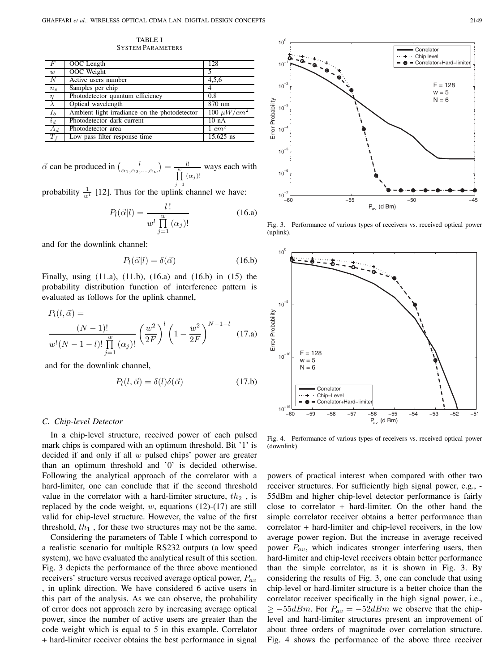TABLE I SYSTEM PARAMETERS

| F              | OOC Length                                    | 128              |
|----------------|-----------------------------------------------|------------------|
| w              | OOC Weight                                    |                  |
| $\overline{N}$ | Active users number                           | 4,5,6            |
| $n_{s}$        | Samples per chip                              |                  |
| $\eta$         | Photodetector quantum efficiency              | 0.8              |
|                | Optical wavelength                            | 870 nm           |
| $I_b$          | Ambient light irradiance on the photodetector | $100 \mu W/cm^2$ |
| $i_d$          | Photodetector dark current                    | 10 <sub>nA</sub> |
| $A_d$          | Photodetector area                            | $1 \, cm^2$      |
| $T_f$          | Low pass filter response time                 | $15.625$ ns      |

 $\vec{\alpha}$  can be produced in  $\begin{pmatrix} l \\ \alpha_1, \alpha_2, ..., \alpha_w \end{pmatrix} = \frac{l!}{\prod_{j=1}^w (l)!}$  $(\alpha_j)!$ ways each with

probability  $\frac{1}{w'}$  [12]. Thus for the uplink channel we have:

$$
P_l(\vec{\alpha}|l) = \frac{l!}{w^l \prod\limits_{j=1}^w (\alpha_j)!}
$$
 (16.a)

and for the downlink channel:

$$
P_l(\vec{\alpha}|l) = \delta(\vec{\alpha}) \tag{16.b}
$$

Finally, using (11.a), (11.b), (16.a) and (16.b) in (15) the probability distribution function of interference pattern is evaluated as follows for the uplink channel,

$$
P_l(l, \vec{\alpha}) = \frac{(N-1)!}{w^l (N-1-l)! \prod_{j=1}^w (\alpha_j)!} \left(\frac{w^2}{2F}\right)^l \left(1 - \frac{w^2}{2F}\right)^{N-1-l}
$$
(17. a)

and for the downlink channel,

$$
P_l(l, \vec{\alpha}) = \delta(l)\delta(\vec{\alpha})
$$
 (17.b)

#### *C. Chip-level Detector*

In a chip-level structure, received power of each pulsed mark chips is compared with an optimum threshold. Bit '1' is decided if and only if all  $w$  pulsed chips' power are greater than an optimum threshold and '0' is decided otherwise. Following the analytical approach of the correlator with a hard-limiter, one can conclude that if the second threshold value in the correlator with a hard-limiter structure,  $th_2$ , is replaced by the code weight,  $w$ , equations (12)-(17) are still valid for chip-level structure. However, the value of the first threshold,  $th_1$ , for these two structures may not be the same.

Considering the parameters of Table I which correspond to a realistic scenario for multiple RS232 outputs (a low speed system), we have evaluated the analytical result of this section. Fig. 3 depicts the performance of the three above mentioned receivers' structure versus received average optical power,  $P_{av}$ , in uplink direction. We have considered 6 active users in this part of the analysis. As we can observe, the probability of error does not approach zero by increasing average optical power, since the number of active users are greater than the code weight which is equal to 5 in this example. Correlator + hard-limiter receiver obtains the best performance in signal



Fig. 3. Performance of various types of receivers vs. received optical power (uplink).



Fig. 4. Performance of various types of receivers vs. received optical power (downlink).

powers of practical interest when compared with other two receiver structures. For sufficiently high signal power, e.g., - 55dBm and higher chip-level detector performance is fairly close to correlator + hard-limiter. On the other hand the simple correlator receiver obtains a better performance than correlator + hard-limiter and chip-level receivers, in the low average power region. But the increase in average received power  $P_{av}$ , which indicates stronger interfering users, then hard-limiter and chip-level receivers obtain better performance than the simple correlator, as it is shown in Fig. 3. By considering the results of Fig. 3, one can conclude that using chip-level or hard-limiter structure is a better choice than the correlator receiver specifically in the high signal power, i.e.,  $\geq -55dBm$ . For  $P_{av} = -52dBm$  we observe that the chiplevel and hard-limiter structures present an improvement of about three orders of magnitude over correlation structure. Fig. 4 shows the performance of the above three receiver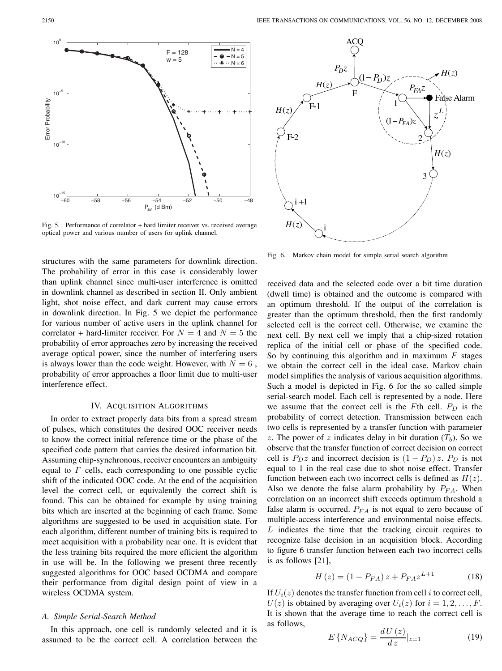

Fig. 5. Performance of correlator + hard limiter receiver vs. received average optical power and various number of users for uplink channel.

structures with the same parameters for downlink direction. The probability of error in this case is considerably lower than uplink channel since multi-user interference is omitted in downlink channel as described in section II. Only ambient light, shot noise effect, and dark current may cause errors in downlink direction. In Fig. 5 we depict the performance for various number of active users in the uplink channel for correlator + hard-limiter receiver. For  $N = 4$  and  $N = 5$  the probability of error approaches zero by increasing the received average optical power, since the number of interfering users is always lower than the code weight. However, with  $N = 6$ , probability of error approaches a floor limit due to multi-user interference effect.

## IV. ACQUISITION ALGORITHMS

In order to extract properly data bits from a spread stream of pulses, which constitutes the desired OOC receiver needs to know the correct initial reference time or the phase of the specified code pattern that carries the desired information bit. Assuming chip-synchronous, receiver encounters an ambiguity equal to  $F$  cells, each corresponding to one possible cyclic shift of the indicated OOC code. At the end of the acquisition level the correct cell, or equivalently the correct shift is found. This can be obtained for example by using training bits which are inserted at the beginning of each frame. Some algorithms are suggested to be used in acquisition state. For each algorithm, different number of training bits is required to meet acquisition with a probability near one. It is evident that the less training bits required the more efficient the algorithm in use will be. In the following we present three recently suggested algorithms for OOC based OCDMA and compare their performance from digital design point of view in a wireless OCDMA system.

# *A. Simple Serial-Search Method*

In this approach, one cell is randomly selected and it is assumed to be the correct cell. A correlation between the



Fig. 6. Markov chain model for simple serial search algorithm

received data and the selected code over a bit time duration (dwell time) is obtained and the outcome is compared with an optimum threshold. If the output of the correlation is greater than the optimum threshold, then the first randomly selected cell is the correct cell. Otherwise, we examine the next cell. By next cell we imply that a chip-sized rotation replica of the initial cell or phase of the specified code. So by continuing this algorithm and in maximum  $F$  stages we obtain the correct cell in the ideal case. Markov chain model simplifies the analysis of various acquisition algorithms. Such a model is depicted in Fig. 6 for the so called simple serial-search model. Each cell is represented by a node. Here we assume that the correct cell is the Fth cell.  $P_D$  is the probability of correct detection. Transmission between each two cells is represented by a transfer function with parameter z. The power of z indicates delay in bit duration  $(T_b)$ . So we observe that the transfer function of correct decision on correct cell is  $P_Dz$  and incorrect decision is  $(1 - P_D)z$ .  $P_D$  is not equal to 1 in the real case due to shot noise effect. Transfer function between each two incorrect cells is defined as  $H(z)$ . Also we denote the false alarm probability by  $P_{FA}$ . When correlation on an incorrect shift exceeds optimum threshold a false alarm is occurred.  $P_{FA}$  is not equal to zero because of multiple-access interference and environmental noise effects. L indicates the time that the tracking circuit requires to recognize false decision in an acquisition block. According to figure 6 transfer function between each two incorrect cells is as follows [21],

$$
H(z) = (1 - P_{FA}) z + P_{FA} z^{L+1}
$$
 (18)

If  $U_i(z)$  denotes the transfer function from cell i to correct cell,  $U(z)$  is obtained by averaging over  $U_i(z)$  for  $i = 1, 2, \ldots, F$ . It is shown that the average time to reach the correct cell is as follows,

$$
E\left\{N_{ACQ}\right\} = \frac{dU\left(z\right)}{dz}|_{z=1} \tag{19}
$$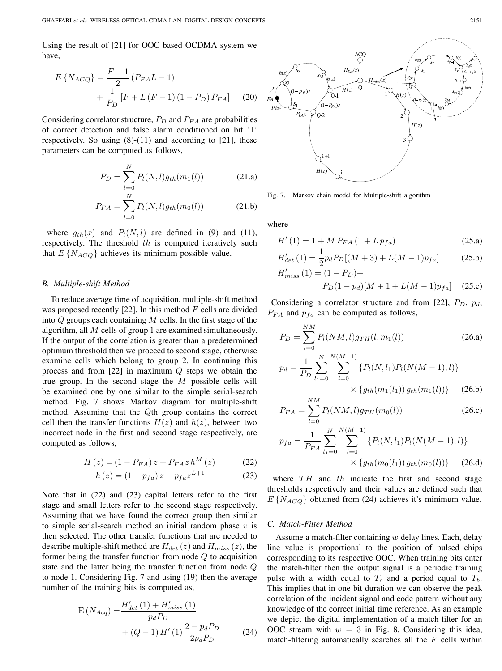Using the result of [21] for OOC based OCDMA system we have,

$$
E\{N_{ACQ}\} = \frac{F-1}{2}(P_{FA}L-1) + \frac{1}{P_D}[F+L(F-1)(1-P_D)P_{FA}] \tag{20}
$$

Considering correlator structure,  $P_D$  and  $P_{FA}$  are probabilities of correct detection and false alarm conditioned on bit '1' respectively. So using  $(8)-(11)$  and according to  $[21]$ , these parameters can be computed as follows,

$$
P_D = \sum_{l=0}^{N} P_l(N, l) g_{th}(m_1(l))
$$
 (21.a)

$$
P_{FA} = \sum_{l=0}^{N} P_l(N,l) g_{th}(m_0(l))
$$
 (21.b)

where  $g_{th}(x)$  and  $P_l(N,l)$  are defined in (9) and (11), respectively. The threshold  $th$  is computed iteratively such that  $E\{N_{ACQ}\}\$ achieves its minimum possible value.

# *B. Multiple-shift Method*

To reduce average time of acquisition, multiple-shift method was proposed recently  $[22]$ . In this method F cells are divided into  $Q$  groups each containing  $M$  cells. In the first stage of the algorithm, all  $M$  cells of group 1 are examined simultaneously. If the output of the correlation is greater than a predetermined optimum threshold then we proceed to second stage, otherwise examine cells which belong to group 2. In continuing this process and from [22] in maximum Q steps we obtain the true group. In the second stage the  $M$  possible cells will be examined one by one similar to the simple serial-search method. Fig. 7 shows Markov diagram for multiple-shift method. Assuming that the Qth group contains the correct cell then the transfer functions  $H(z)$  and  $h(z)$ , between two incorrect node in the first and second stage respectively, are computed as follows,

$$
H(z) = (1 - P_{FA}) z + P_{FA} z h^{M}(z)
$$
 (22)

$$
h(z) = (1 - p_{fa}) z + p_{fa} z^{L+1}
$$
 (23)

Note that in (22) and (23) capital letters refer to the first stage and small letters refer to the second stage respectively. Assuming that we have found the correct group then similar to simple serial-search method an initial random phase  $v$  is then selected. The other transfer functions that are needed to describe multiple-shift method are  $H_{det}(z)$  and  $H_{miss}(z)$ , the former being the transfer function from node Q to acquisition state and the latter being the transfer function from node Q to node 1. Considering Fig. 7 and using (19) then the average number of the training bits is computed as,

$$
E(N_{Acq}) = \frac{H'_{det}(1) + H'_{miss}(1)}{p_d P_D} + (Q - 1) H'(1) \frac{2 - p_d P_D}{2p_d P_D}
$$
(24)



Fig. 7. Markov chain model for Multiple-shift algorithm

where

$$
H'(1) = 1 + M P_{FA} (1 + L p_{fa})
$$
 (25. a)

$$
H'_{det}(1) = \frac{1}{2} p_d P_D [(M+3) + L(M-1)p_{fa}]
$$
 (25.b)

$$
H'_{miss} (1) = (1 - P_D) +
$$
  
\n
$$
P_D (1 - p_d) [M + 1 + L(M - 1)p_{fa}]
$$
 (25.c)

Considering a correlator structure and from [22],  $P_D$ ,  $p_d$ ,  $P_{FA}$  and  $p_{fa}$  can be computed as follows,

$$
P_D = \sum_{l=0}^{NM} P_l(NM, l) g_{TH}(l, m_1(l))
$$
(26.a)  

$$
p_d = \frac{1}{P_D} \sum_{l_1=0}^{N} \sum_{l=0}^{N(M-1)} \{P_l(N, l_1) P_l(N(M-1), l)\}
$$

$$
\times \{g_{th}(m_1(l_1)) g_{th}(m_1(l))\}
$$
(26.b)

$$
P_{FA} = \sum_{l=0}^{NM} P_l(NM, l) g_{TH}(m_0(l))
$$
\n(26.c)

$$
p_{fa} = \frac{1}{P_{FA}} \sum_{l_1=0}^{N} \sum_{l=0}^{N(M-1)} \{P_l(N, l_1) P_l(N(M-1), l)\} \times \{g_{th}(m_0(l_1)) g_{th}(m_0(l))\} \tag{26. d}
$$

where  $TH$  and  $th$  indicate the first and second stage thresholds respectively and their values are defined such that  $E\{N_{ACQ}\}\$  obtained from (24) achieves it's minimum value.

## *C. Match-Filter Method*

Assume a match-filter containing  $w$  delay lines. Each, delay line value is proportional to the position of pulsed chips corresponding to its respective OOC. When training bits enter the match-filter then the output signal is a periodic training pulse with a width equal to  $T_c$  and a period equal to  $T_b$ . This implies that in one bit duration we can observe the peak correlation of the incident signal and code pattern without any knowledge of the correct initial time reference. As an example we depict the digital implementation of a match-filter for an OOC stream with  $w = 3$  in Fig. 8. Considering this idea, match-filtering automatically searches all the  $F$  cells within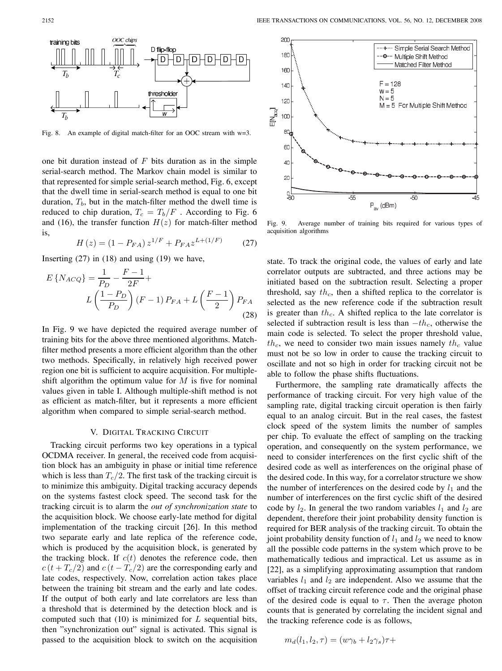

Fig. 8. An example of digital match-filter for an OOC stream with w=3.

one bit duration instead of  $F$  bits duration as in the simple serial-search method. The Markov chain model is similar to that represented for simple serial-search method, Fig. 6, except that the dwell time in serial-search method is equal to one bit duration,  $T_b$ , but in the match-filter method the dwell time is reduced to chip duration,  $T_c = T_b/F$ . According to Fig. 6 and (16), the transfer function  $H(z)$  for match-filter method is,

$$
H(z) = (1 - P_{FA}) z^{1/F} + P_{FA} z^{L+(1/F)}
$$
 (27)

Inserting (27) in (18) and using (19) we have,

$$
E\left\{N_{ACQ}\right\} = \frac{1}{P_D} - \frac{F-1}{2F} + L\left(\frac{1-P_D}{P_D}\right) (F-1) P_{FA} + L\left(\frac{F-1}{2}\right) P_{FA}
$$
\n(28)

In Fig. 9 we have depicted the required average number of training bits for the above three mentioned algorithms. Matchfilter method presents a more efficient algorithm than the other two methods. Specifically, in relatively high received power region one bit is sufficient to acquire acquisition. For multipleshift algorithm the optimum value for  $M$  is five for nominal values given in table I. Although multiple-shift method is not as efficient as match-filter, but it represents a more efficient algorithm when compared to simple serial-search method.

#### V. DIGITAL TRACKING CIRCUIT

Tracking circuit performs two key operations in a typical OCDMA receiver. In general, the received code from acquisition block has an ambiguity in phase or initial time reference which is less than  $T_c/2$ . The first task of the tracking circuit is to minimize this ambiguity. Digital tracking accuracy depends on the systems fastest clock speed. The second task for the tracking circuit is to alarm the *out of synchronization state* to the acquisition block. We choose early-late method for digital implementation of the tracking circuit [26]. In this method two separate early and late replica of the reference code, which is produced by the acquisition block, is generated by the tracking block. If  $c(t)$  denotes the reference code, then  $c (t + T_c/2)$  and  $c (t - T_c/2)$  are the corresponding early and late codes, respectively. Now, correlation action takes place between the training bit stream and the early and late codes. If the output of both early and late correlators are less than a threshold that is determined by the detection block and is computed such that  $(10)$  is minimized for  $L$  sequential bits, then "synchronization out" signal is activated. This signal is passed to the acquisition block to switch on the acquisition



Fig. 9. Average number of training bits required for various types of acquisition algorithms

state. To track the original code, the values of early and late correlator outputs are subtracted, and three actions may be initiated based on the subtraction result. Selecting a proper threshold, say  $th_c$ , then a shifted replica to the correlator is selected as the new reference code if the subtraction result is greater than  $th_c$ . A shifted replica to the late correlator is selected if subtraction result is less than  $-th<sub>c</sub>$ , otherwise the main code is selected. To select the proper threshold value,  $th_c$ , we need to consider two main issues namely  $th_c$  value must not be so low in order to cause the tracking circuit to oscillate and not so high in order for tracking circuit not be able to follow the phase shifts fluctuations.

Furthermore, the sampling rate dramatically affects the performance of tracking circuit. For very high value of the sampling rate, digital tracking circuit operation is then fairly equal to an analog circuit. But in the real cases, the fastest clock speed of the system limits the number of samples per chip. To evaluate the effect of sampling on the tracking operation, and consequently on the system performance, we need to consider interferences on the first cyclic shift of the desired code as well as interferences on the original phase of the desired code. In this way, for a correlator structure we show the number of interferences on the desired code by  $l_1$  and the number of interferences on the first cyclic shift of the desired code by  $l_2$ . In general the two random variables  $l_1$  and  $l_2$  are dependent, therefore their joint probability density function is required for BER analysis of the tracking circuit. To obtain the joint probability density function of  $l_1$  and  $l_2$  we need to know all the possible code patterns in the system which prove to be mathematically tedious and impractical. Let us assume as in [22], as a simplifying approximating assumption that random variables  $l_1$  and  $l_2$  are independent. Also we assume that the offset of tracking circuit reference code and the original phase of the desired code is equal to  $\tau$ . Then the average photon counts that is generated by correlating the incident signal and the tracking reference code is as follows,

$$
m_d(l_1, l_2, \tau) = (w\gamma_b + l_2\gamma_s)\tau +
$$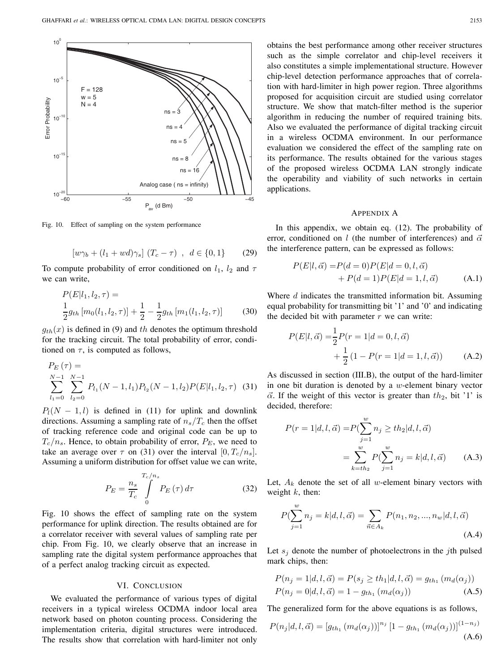

Fig. 10. Effect of sampling on the system performance

$$
[w\gamma_b + (l_1 + wd)\gamma_s] (T_c - \tau) , d \in \{0, 1\}
$$
 (29)

To compute probability of error conditioned on  $l_1$ ,  $l_2$  and  $\tau$ we can write,

$$
P(E|l_1, l_2, \tau) =
$$
  
\n
$$
\frac{1}{2}g_{th}[m_0(l_1, l_2, \tau)] + \frac{1}{2} - \frac{1}{2}g_{th}[m_1(l_1, l_2, \tau)]
$$
 (30)

 $g_{th}(x)$  is defined in (9) and th denotes the optimum threshold for the tracking circuit. The total probability of error, conditioned on  $\tau$ , is computed as follows,

$$
P_E(\tau) = \sum_{l_1=0}^{N-1} \sum_{l_2=0}^{N-1} P_{l_1}(N-1, l_1) P_{l_2}(N-1, l_2) P(E|l_1, l_2, \tau) \tag{31}
$$

 $P_l(N-1,l)$  is defined in (11) for uplink and downlink directions. Assuming a sampling rate of  $n_s/T_c$  then the offset of tracking reference code and original code can be up to  $T_c/n_s$ . Hence, to obtain probability of error,  $P_E$ , we need to take an average over  $\tau$  on (31) over the interval  $[0, T_c/n_s]$ . Assuming a uniform distribution for offset value we can write,

$$
P_E = \frac{n_s}{T_c} \int\limits_{0}^{T_c/n_s} P_E(\tau) d\tau \tag{32}
$$

Fig. 10 shows the effect of sampling rate on the system performance for uplink direction. The results obtained are for a correlator receiver with several values of sampling rate per chip. From Fig. 10, we clearly observe that an increase in sampling rate the digital system performance approaches that of a perfect analog tracking circuit as expected.

# VI. CONCLUSION

We evaluated the performance of various types of digital receivers in a typical wireless OCDMA indoor local area network based on photon counting process. Considering the implementation criteria, digital structures were introduced. The results show that correlation with hard-limiter not only

obtains the best performance among other receiver structures such as the simple correlator and chip-level receivers it also constitutes a simple implementational structure. However chip-level detection performance approaches that of correlation with hard-limiter in high power region. Three algorithms proposed for acquisition circuit are studied using correlator structure. We show that match-filter method is the superior algorithm in reducing the number of required training bits. Also we evaluated the performance of digital tracking circuit in a wireless OCDMA environment. In our performance evaluation we considered the effect of the sampling rate on its performance. The results obtained for the various stages of the proposed wireless OCDMA LAN strongly indicate the operability and viability of such networks in certain applications.

# APPENDIX A

In this appendix, we obtain eq. (12). The probability of error, conditioned on l (the number of interferences) and  $\vec{\alpha}$ the interference pattern, can be expressed as follows:

$$
P(E|l, \vec{\alpha}) = P(d=0)P(E|d=0, l, \vec{\alpha}) + P(d=1)P(E|d=1, l, \vec{\alpha})
$$
 (A.1)

Where  $d$  indicates the transmitted information bit. Assuming equal probability for transmitting bit '1' and '0' and indicating the decided bit with parameter  $r$  we can write:

$$
P(E|l, \vec{\alpha}) = \frac{1}{2}P(r = 1|d = 0, l, \vec{\alpha}) + \frac{1}{2}(1 - P(r = 1|d = 1, l, \vec{\alpha}))
$$
 (A.2)

As discussed in section (III.B), the output of the hard-limiter in one bit duration is denoted by a  $w$ -element binary vector  $\vec{\alpha}$ . If the weight of this vector is greater than  $th_2$ , bit '1' is decided, therefore:

$$
P(r = 1|d, l, \vec{\alpha}) = P(\sum_{j=1}^{w} n_j \ge th_2|d, l, \vec{\alpha})
$$

$$
= \sum_{k=th_2}^{w} P(\sum_{j=1}^{w} n_j = k|d, l, \vec{\alpha}) \qquad (A.3)
$$

Let,  $A_k$  denote the set of all w-element binary vectors with weight  $k$ , then:

$$
P(\sum_{j=1}^{w} n_j = k | d, l, \vec{\alpha}) = \sum_{\vec{n} \in A_k} P(n_1, n_2, ..., n_w | d, l, \vec{\alpha})
$$
\n(A.4)

Let  $s_i$  denote the number of photoelectrons in the jth pulsed mark chips, then:

$$
P(n_j = 1|d, l, \vec{\alpha}) = P(s_j \ge th_1|d, l, \vec{\alpha}) = g_{th_1}(m_d(\alpha_j))
$$
  

$$
P(n_j = 0|d, l, \vec{\alpha}) = 1 - g_{th_1}(m_d(\alpha_j))
$$
 (A.5)

The generalized form for the above equations is as follows,

$$
P(n_j|d, l, \vec{\alpha}) = [g_{th_1}(m_d(\alpha_j))]^{n_j} [1 - g_{th_1}(m_d(\alpha_j))]^{(1 - n_j)}
$$
\n(A.6)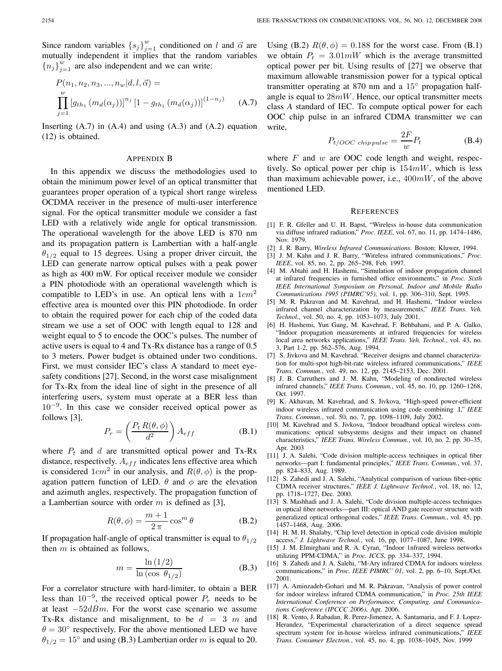Since random variables  $\{s_j\}_{j=1}^w$  conditioned on l and  $\vec{\alpha}$  are mutually independent it implies that the random variables  ${n_j}_{j=1}^w$  are also independent and we can write:

$$
P(n_1, n_2, n_3, ..., n_w | d, l, \vec{\alpha}) =
$$
  

$$
\prod_{j=1}^{w} [g_{th_1} (m_d(\alpha_j))]^{n_j} [1 - g_{th_1} (m_d(\alpha_j))]^{(1 - n_j)}
$$
 (A.7)

Inserting  $(A.7)$  in  $(A.4)$  and using  $(A.3)$  and  $(A.2)$  equation (12) is obtained.

# APPENDIX B

In this appendix we discuss the methodologies used to obtain the minimum power level of an optical transmitter that guarantees proper operation of a typical short range wireless OCDMA receiver in the presence of multi-user interference signal. For the optical transmitter module we consider a fast LED with a relatively wide angle for optical transmission. The operational wavelength for the above LED is 870 nm and its propagation pattern is Lambertian with a half-angle  $\theta_{1/2}$  equal to 15 degrees. Using a proper driver circuit, the LED can generate narrow optical pulses with a peak power as high as 400 mW. For optical receiver module we consider a PIN photodiode with an operational wavelength which is compatible to LED's in use. An optical lens with a  $1cm<sup>2</sup>$ effective area is mounted over this PIN photodiode. In order to obtain the required power for each chip of the coded data stream we use a set of OOC with length equal to 128 and weight equal to 5 to encode the OOC's pulses. The number of active users is equal to 4 and Tx-Rx distance has a range of 0.5 to 3 meters. Power budget is obtained under two conditions. First, we must consider IEC's class A standard to meet eyesafety conditions [27]. Second, in the worst case misalignment for Tx-Rx from the ideal line of sight in the presence of all interfering users, system must operate at a BER less than  $10^{-9}$ . In this case we consider received optical power as follows [3],

$$
P_r = \left(\frac{P_t R(\theta, \phi)}{d^2}\right) A_{eff}
$$
 (B.1)

where  $P_t$  and d are transmitted optical power and Tx-Rx distance, respectively.  $A_{eff}$  indicates lens effective area which is considered  $1cm^2$  in our analysis, and  $R(\theta, \phi)$  is the propagation pattern function of LED.  $\theta$  and  $\phi$  are the elevation and azimuth angles, respectively. The propagation function of a Lambertian source with order  $m$  is defined as [3],

$$
R(\theta, \phi) = \frac{m+1}{2\pi} \cos^m \theta
$$
 (B.2)

If propagation half-angle of optical transmitter is equal to  $\theta_{1/2}$ then  $m$  is obtained as follows,

$$
m = \frac{\ln(1/2)}{\ln(\cos \theta_{1/2})}
$$
 (B.3)

For a correlator structure with hard-limiter, to obtain a BER less than  $10^{-9}$ , the received optical power  $P_r$  needs to be at least  $-52dBm$ . For the worst case scenario we assume Tx-Rx distance and misalignment, to be  $d = 3$  m and  $\theta = 30^{\circ}$  respectively. For the above mentioned LED we have  $\theta_{1/2} = 15^{\circ}$  and using (B.3) Lambertian order m is equal to 20. Using (B.2)  $R(\theta, \phi) = 0.188$  for the worst case. From (B.1) we obtain  $P_t = 3.01mW$  which is the average transmitted optical power per bit. Using results of [27] we observe that maximum allowable transmission power for a typical optical transmitter operating at 870 nm and a 15◦ propagation halfangle is equal to  $28mW$ . Hence, our optical transmitter meets class *A* standard of IEC. To compute optical power for each OOC chip pulse in an infrared CDMA transmitter we can write,

$$
P_{t/OOC\ chip\ pulse} = \frac{2F}{w}P_t
$$
 (B.4)

where  $F$  and  $w$  are OOC code length and weight, respectively. So optical power per chip is  $154mW$ , which is less than maximum achievable power, i.e.,  $400mW$ , of the above mentioned LED.

#### **REFERENCES**

- [1] F. R. Gfeller and U. H. Bapst, "Wireless in-house data communication via diffuse infrared radiation," *Proc. IEEE*, vol. 67, no. 11, pp. 1474–1486, Nov. 1979.
- [2] J. R. Barry, *Wireless Infrared Communications*. Boston: Kluwer, 1994.
- [3] J. M. Kahn and J. R. Barry, "Wireless infrared communications," *Proc. IEEE*, vol. 85, no. 2, pp. 265–298, Feb. 1997.
- [4] M. Abtahi and H. Hashemi, "Simulation of indoor propagation channel at infrared frequencies in furnished office environments," in *Proc. Sixth IEEE International Symposium on Personal, Indoor and Mobile Radio Communications 1995 (PIMRC'95)*, vol. 1, pp. 306–310, Sept. 1995.
- [5] M. R. Pakravan and M. Kavehrad, and H. Hashemi, "Indoor wireless infrared channel characterization by measurements," *IEEE Trans. Veh. Technol.*, vol. 50, no. 4, pp. 1053–1073, July 2001.
- [6] H. Hashemi, Yun Gang, M. Kavehrad, F. Behbahani, and P. A. Galko, "Indoor propagation measurements at infrared frequencies for wireless local area networks applications," *IEEE Trans. Veh. Technol.*, vol. 43, no. 3, Part 1-2, pp. 562–576, Aug. 1994.
- [7] S. Jivkova and M. Kavehrad, "Receiver designs and channel characterization for multi-spot high-bit-rate wireless infrared communications," *IEEE Trans. Commun.*, vol. 49, no. 12, pp. 2145–2153, Dec. 2001.
- [8] J. B. Carruthers and J. M. Kahn, "Modeling of nondirected wireless infrared channels," *IEEE Trans. Commun.*, vol. 45, no. 10, pp. 1260–1268, Oct. 1997.
- [9] K. Akhavan, M. Kavehrad, and S. Jivkova, "High-speed power-efficient indoor wireless infrared communication using code combining .I," *IEEE Trans. Commun.*, vol. 50, no. 7, pp. 1098–1109, July 2002.
- [10] M. Kavehrad and S. Jivkova, "Indoor broadband optical wireless communications: optical subsystems designs and their impact on channel characteristics," *IEEE Trans. Wireless Commun.*, vol. 10, no. 2, pp. 30–35, Apr. 2003
- [11] J. A. Salehi, "Code division multiple-access techniques in optical fiber networks—part I: fundamental principles," *IEEE Trans. Commun.*, vol. 37, pp. 824–833, Aug. 1989.
- [12] S. Zahedi and J. A. Salehi, "Analytical comparison of various fiber-optic CDMA receiver structures," *IEEE J. Lightwave Technol.*, vol. 18, no. 12, pp. 1718–1727, Dec. 2000.
- [13] S. Mashhadi and J. A. Salehi, "Code division multiple-access techniques in optical fiber networks—part III: optical AND gate receiver structure with generalized optical orthogonal codes," *IEEE Trans. Commun.*, vol. 45, pp. 1457–1468, Aug. 2006.
- [14] H. M. H. Shalaby, "Chip level detection in optical code division multiple access," *J. Lightwave Technol.*, vol. 16, pp. 1077–1087, June 1998.
- [15] J. M. Elmirghani and R. A. Cyran, "Indoor 1nfrared wireless networks utilizing PPM-CDMA," in *Proc. ICCS*, pp. 334–337, 1994.
- [16] S. Zahedi and J. A. Salehi, "M-Ary infrared CDMA for indoors wireless communications," in *Proc. IEEE PIMRC' 01*, vol. 2, pp. 6–10, Sept./Oct. 2001.
- [17] A. Aminzadeh-Gohari and M. R. Pakravan, "Analysis of power control for indoor wireless infrared CDMA communication," in *Proc. 25th IEEE International Conference on Performance, Computing, and Communications Conference (IPCCC 2006)*, Apr. 2006.
- [18] R. Vento, J. Rabadan, R. Perez-Jimenez, A. Santamaria, and F. J. Lopez-Herandez, "Experimental characterization of a direct sequence spread spectrum system for in-house wireless infrared communications," *IEEE Trans. Consumer Electron.*, vol. 45, no. 4, pp. 1038–1045, Nov. 1999